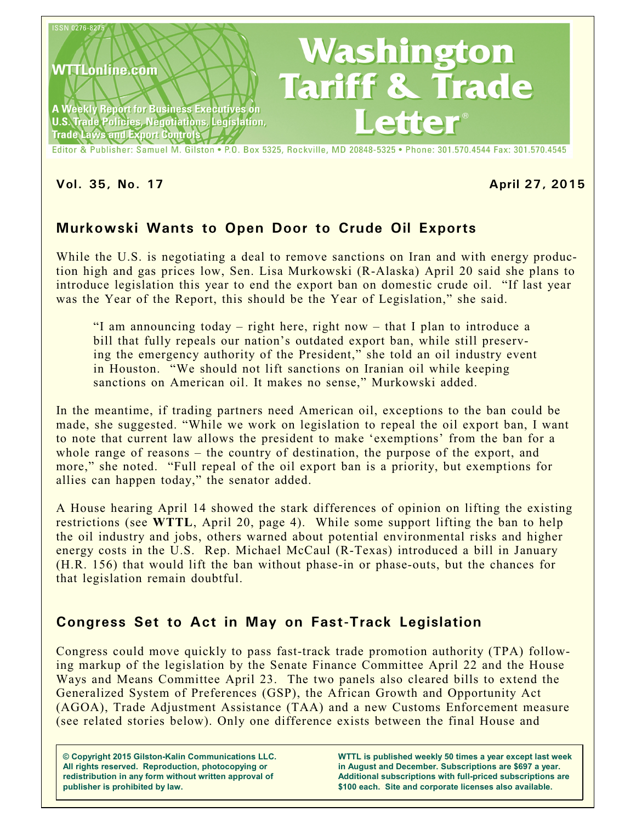

**Vol. 35, No. 17 April 27, 2015**

# **Murkowski Wants to Open Door to Crude Oil Exports**

While the U.S. is negotiating a deal to remove sanctions on Iran and with energy production high and gas prices low, Sen. Lisa Murkowski (R-Alaska) April 20 said she plans to introduce legislation this year to end the export ban on domestic crude oil. "If last year was the Year of the Report, this should be the Year of Legislation," she said.

"I am announcing today – right here, right now – that I plan to introduce a bill that fully repeals our nation's outdated export ban, while still preserving the emergency authority of the President," she told an oil industry event in Houston. "We should not lift sanctions on Iranian oil while keeping sanctions on American oil. It makes no sense," Murkowski added.

In the meantime, if trading partners need American oil, exceptions to the ban could be made, she suggested. "While we work on legislation to repeal the oil export ban, I want to note that current law allows the president to make 'exemptions' from the ban for a whole range of reasons – the country of destination, the purpose of the export, and more," she noted. "Full repeal of the oil export ban is a priority, but exemptions for allies can happen today," the senator added.

A House hearing April 14 showed the stark differences of opinion on lifting the existing restrictions (see **WTTL**, April 20, page 4). While some support lifting the ban to help the oil industry and jobs, others warned about potential environmental risks and higher energy costs in the U.S. Rep. Michael McCaul (R-Texas) introduced a bill in January (H.R. 156) that would lift the ban without phase-in or phase-outs, but the chances for that legislation remain doubtful.

# **Congress Set to Act in May on Fast-Track Legislation**

Congress could move quickly to pass fast-track trade promotion authority (TPA) following markup of the legislation by the Senate Finance Committee April 22 and the House Ways and Means Committee April 23. The two panels also cleared bills to extend the Generalized System of Preferences (GSP), the African Growth and Opportunity Act (AGOA), Trade Adjustment Assistance (TAA) and a new Customs Enforcement measure (see related stories below). Only one difference exists between the final House and

**© Copyright 2015 Gilston-Kalin Communications LLC. All rights reserved. Reproduction, photocopying or redistribution in any form without written approval of publisher is prohibited by law.** 

**WTTL is published weekly 50 times a year except last week in August and December. Subscriptions are \$697 a year. Additional subscriptions with full-priced subscriptions are \$100 each. Site and corporate licenses also available.**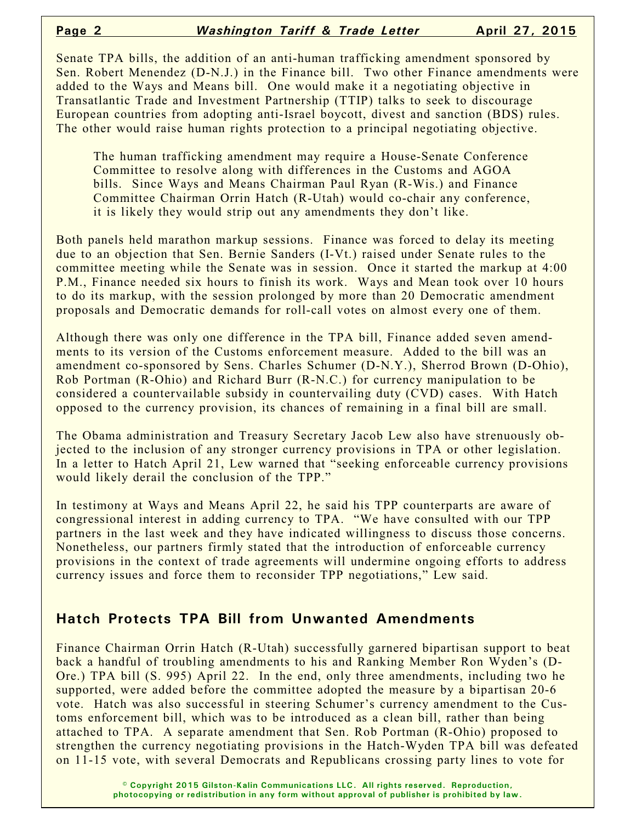Senate TPA bills, the addition of an anti-human trafficking amendment sponsored by Sen. Robert Menendez (D-N.J.) in the Finance bill. Two other Finance amendments were added to the Ways and Means bill. One would make it a negotiating objective in Transatlantic Trade and Investment Partnership (TTIP) talks to seek to discourage European countries from adopting anti-Israel boycott, divest and sanction (BDS) rules. The other would raise human rights protection to a principal negotiating objective.

The human trafficking amendment may require a House-Senate Conference Committee to resolve along with differences in the Customs and AGOA bills. Since Ways and Means Chairman Paul Ryan (R-Wis.) and Finance Committee Chairman Orrin Hatch (R-Utah) would co-chair any conference, it is likely they would strip out any amendments they don't like.

Both panels held marathon markup sessions. Finance was forced to delay its meeting due to an objection that Sen. Bernie Sanders (I-Vt.) raised under Senate rules to the committee meeting while the Senate was in session. Once it started the markup at 4:00 P.M., Finance needed six hours to finish its work. Ways and Mean took over 10 hours to do its markup, with the session prolonged by more than 20 Democratic amendment proposals and Democratic demands for roll-call votes on almost every one of them.

Although there was only one difference in the TPA bill, Finance added seven amendments to its version of the Customs enforcement measure. Added to the bill was an amendment co-sponsored by Sens. Charles Schumer (D-N.Y.), Sherrod Brown (D-Ohio), Rob Portman (R-Ohio) and Richard Burr (R-N.C.) for currency manipulation to be considered a countervailable subsidy in countervailing duty (CVD) cases. With Hatch opposed to the currency provision, its chances of remaining in a final bill are small.

The Obama administration and Treasury Secretary Jacob Lew also have strenuously objected to the inclusion of any stronger currency provisions in TPA or other legislation. In a letter to Hatch April 21, Lew warned that "seeking enforceable currency provisions would likely derail the conclusion of the TPP."

In testimony at Ways and Means April 22, he said his TPP counterparts are aware of congressional interest in adding currency to TPA. "We have consulted with our TPP partners in the last week and they have indicated willingness to discuss those concerns. Nonetheless, our partners firmly stated that the introduction of enforceable currency provisions in the context of trade agreements will undermine ongoing efforts to address currency issues and force them to reconsider TPP negotiations," Lew said.

#### **Hatch Protects TPA Bill from Unwanted Amendments**

Finance Chairman Orrin Hatch (R-Utah) successfully garnered bipartisan support to beat back a handful of troubling amendments to his and Ranking Member Ron Wyden's (D-Ore.) TPA bill (S. 995) April 22. In the end, only three amendments, including two he supported, were added before the committee adopted the measure by a bipartisan 20-6 vote. Hatch was also successful in steering Schumer's currency amendment to the Customs enforcement bill, which was to be introduced as a clean bill, rather than being attached to TPA. A separate amendment that Sen. Rob Portman (R-Ohio) proposed to strengthen the currency negotiating provisions in the Hatch-Wyden TPA bill was defeated on 11-15 vote, with several Democrats and Republicans crossing party lines to vote for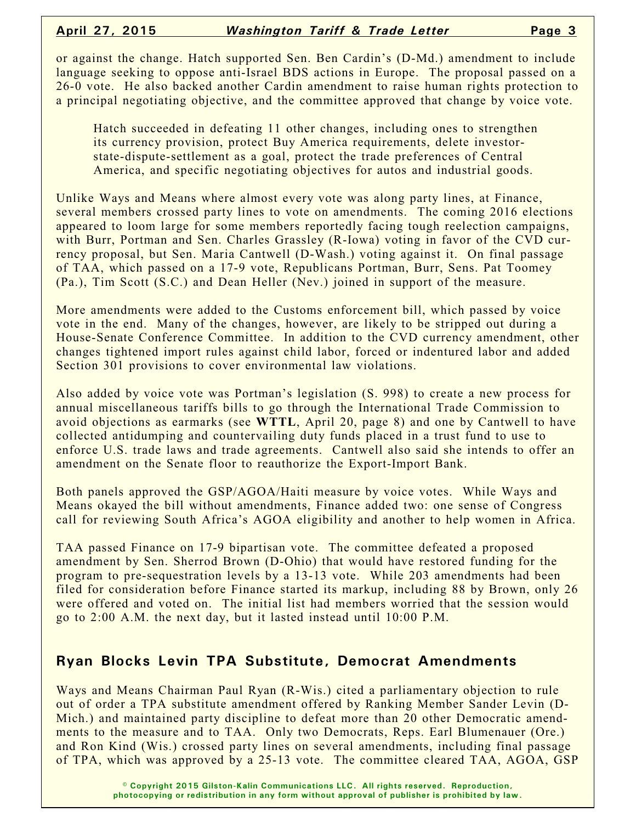or against the change. Hatch supported Sen. Ben Cardin's (D-Md.) amendment to include language seeking to oppose anti-Israel BDS actions in Europe. The proposal passed on a 26-0 vote. He also backed another Cardin amendment to raise human rights protection to a principal negotiating objective, and the committee approved that change by voice vote.

Hatch succeeded in defeating 11 other changes, including ones to strengthen its currency provision, protect Buy America requirements, delete investorstate-dispute-settlement as a goal, protect the trade preferences of Central America, and specific negotiating objectives for autos and industrial goods.

Unlike Ways and Means where almost every vote was along party lines, at Finance, several members crossed party lines to vote on amendments. The coming 2016 elections appeared to loom large for some members reportedly facing tough reelection campaigns, with Burr, Portman and Sen. Charles Grassley (R-Iowa) voting in favor of the CVD currency proposal, but Sen. Maria Cantwell (D-Wash.) voting against it. On final passage of TAA, which passed on a 17-9 vote, Republicans Portman, Burr, Sens. Pat Toomey (Pa.), Tim Scott (S.C.) and Dean Heller (Nev.) joined in support of the measure.

More amendments were added to the Customs enforcement bill, which passed by voice vote in the end. Many of the changes, however, are likely to be stripped out during a House-Senate Conference Committee. In addition to the CVD currency amendment, other changes tightened import rules against child labor, forced or indentured labor and added Section 301 provisions to cover environmental law violations.

Also added by voice vote was Portman's legislation (S. 998) to create a new process for annual miscellaneous tariffs bills to go through the International Trade Commission to avoid objections as earmarks (see **WTTL**, April 20, page 8) and one by Cantwell to have collected antidumping and countervailing duty funds placed in a trust fund to use to enforce U.S. trade laws and trade agreements. Cantwell also said she intends to offer an amendment on the Senate floor to reauthorize the Export-Import Bank.

Both panels approved the GSP/AGOA/Haiti measure by voice votes. While Ways and Means okayed the bill without amendments, Finance added two: one sense of Congress call for reviewing South Africa's AGOA eligibility and another to help women in Africa.

TAA passed Finance on 17-9 bipartisan vote. The committee defeated a proposed amendment by Sen. Sherrod Brown (D-Ohio) that would have restored funding for the program to pre-sequestration levels by a 13-13 vote. While 203 amendments had been filed for consideration before Finance started its markup, including 88 by Brown, only 26 were offered and voted on. The initial list had members worried that the session would go to 2:00 A.M. the next day, but it lasted instead until 10:00 P.M.

## **Ryan Blocks Levin TPA Substitute, Democrat Amendments**

Ways and Means Chairman Paul Ryan (R-Wis.) cited a parliamentary objection to rule out of order a TPA substitute amendment offered by Ranking Member Sander Levin (D-Mich.) and maintained party discipline to defeat more than 20 other Democratic amendments to the measure and to TAA. Only two Democrats, Reps. Earl Blumenauer (Ore.) and Ron Kind (Wis.) crossed party lines on several amendments, including final passage of TPA, which was approved by a 25-13 vote. The committee cleared TAA, AGOA, GSP

> **© Copyright 2015 Gilston-Kalin Communications LLC. All rights reserved. Reproduction, photocopying or redistribution in any form without approval of publisher is prohibited by law.**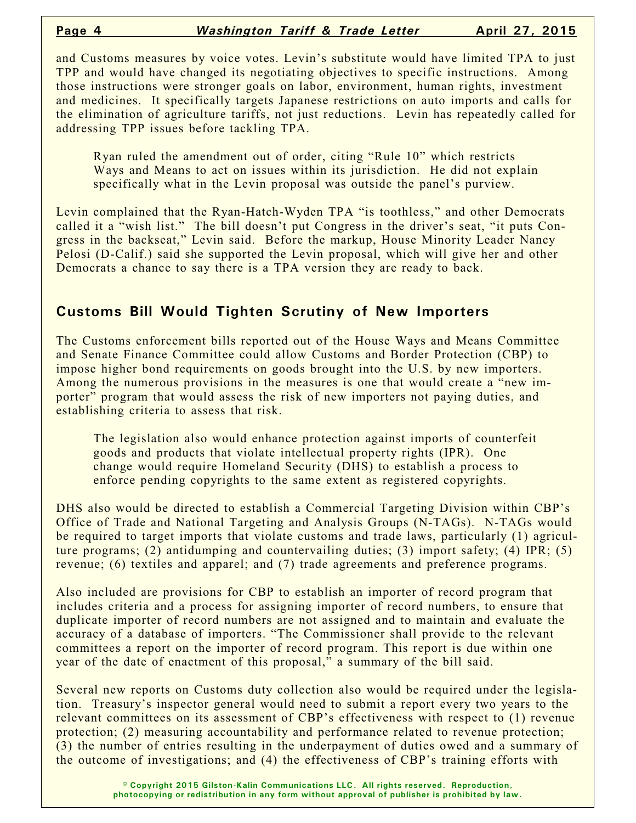and Customs measures by voice votes. Levin's substitute would have limited TPA to just TPP and would have changed its negotiating objectives to specific instructions. Among those instructions were stronger goals on labor, environment, human rights, investment and medicines. It specifically targets Japanese restrictions on auto imports and calls for the elimination of agriculture tariffs, not just reductions. Levin has repeatedly called for addressing TPP issues before tackling TPA.

Ryan ruled the amendment out of order, citing "Rule 10" which restricts Ways and Means to act on issues within its jurisdiction. He did not explain specifically what in the Levin proposal was outside the panel's purview.

Levin complained that the Ryan-Hatch-Wyden TPA "is toothless," and other Democrats called it a "wish list." The bill doesn't put Congress in the driver's seat, "it puts Congress in the backseat," Levin said. Before the markup, House Minority Leader Nancy Pelosi (D-Calif.) said she supported the Levin proposal, which will give her and other Democrats a chance to say there is a TPA version they are ready to back.

#### **Customs Bill Would Tighten Scrutiny of New Importers**

The Customs enforcement bills reported out of the House Ways and Means Committee and Senate Finance Committee could allow Customs and Border Protection (CBP) to impose higher bond requirements on goods brought into the U.S. by new importers. Among the numerous provisions in the measures is one that would create a "new importer" program that would assess the risk of new importers not paying duties, and establishing criteria to assess that risk.

The legislation also would enhance protection against imports of counterfeit goods and products that violate intellectual property rights (IPR). One change would require Homeland Security (DHS) to establish a process to enforce pending copyrights to the same extent as registered copyrights.

DHS also would be directed to establish a Commercial Targeting Division within CBP's Office of Trade and National Targeting and Analysis Groups (N-TAGs). N-TAGs would be required to target imports that violate customs and trade laws, particularly (1) agriculture programs; (2) antidumping and countervailing duties; (3) import safety; (4) IPR; (5) revenue; (6) textiles and apparel; and (7) trade agreements and preference programs.

Also included are provisions for CBP to establish an importer of record program that includes criteria and a process for assigning importer of record numbers, to ensure that duplicate importer of record numbers are not assigned and to maintain and evaluate the accuracy of a database of importers. "The Commissioner shall provide to the relevant committees a report on the importer of record program. This report is due within one year of the date of enactment of this proposal," a summary of the bill said.

Several new reports on Customs duty collection also would be required under the legislation. Treasury's inspector general would need to submit a report every two years to the relevant committees on its assessment of CBP's effectiveness with respect to (1) revenue protection; (2) measuring accountability and performance related to revenue protection; (3) the number of entries resulting in the underpayment of duties owed and a summary of the outcome of investigations; and (4) the effectiveness of CBP's training efforts with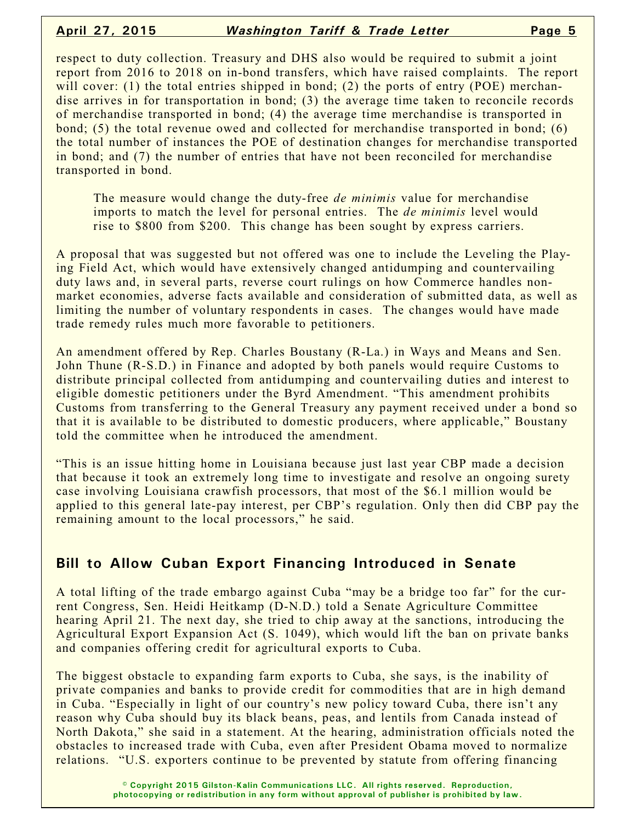respect to duty collection. Treasury and DHS also would be required to submit a joint report from 2016 to 2018 on in-bond transfers, which have raised complaints. The report will cover: (1) the total entries shipped in bond; (2) the ports of entry (POE) merchandise arrives in for transportation in bond; (3) the average time taken to reconcile records of merchandise transported in bond; (4) the average time merchandise is transported in bond; (5) the total revenue owed and collected for merchandise transported in bond; (6) the total number of instances the POE of destination changes for merchandise transported in bond; and (7) the number of entries that have not been reconciled for merchandise transported in bond.

The measure would change the duty-free *de minimis* value for merchandise imports to match the level for personal entries. The *de minimis* level would rise to \$800 from \$200. This change has been sought by express carriers.

A proposal that was suggested but not offered was one to include the Leveling the Playing Field Act, which would have extensively changed antidumping and countervailing duty laws and, in several parts, reverse court rulings on how Commerce handles nonmarket economies, adverse facts available and consideration of submitted data, as well as limiting the number of voluntary respondents in cases. The changes would have made trade remedy rules much more favorable to petitioners.

An amendment offered by Rep. Charles Boustany (R-La.) in Ways and Means and Sen. John Thune (R-S.D.) in Finance and adopted by both panels would require Customs to distribute principal collected from antidumping and countervailing duties and interest to eligible domestic petitioners under the Byrd Amendment. "This amendment prohibits Customs from transferring to the General Treasury any payment received under a bond so that it is available to be distributed to domestic producers, where applicable," Boustany told the committee when he introduced the amendment.

"This is an issue hitting home in Louisiana because just last year CBP made a decision that because it took an extremely long time to investigate and resolve an ongoing surety case involving Louisiana crawfish processors, that most of the \$6.1 million would be applied to this general late-pay interest, per CBP's regulation. Only then did CBP pay the remaining amount to the local processors," he said.

### **Bill to Allow Cuban Export Financing Introduced in Senate**

A total lifting of the trade embargo against Cuba "may be a bridge too far" for the current Congress, Sen. Heidi Heitkamp (D-N.D.) told a Senate Agriculture Committee hearing April 21. The next day, she tried to chip away at the sanctions, introducing the Agricultural Export Expansion Act (S. 1049), which would lift the ban on private banks and companies offering credit for agricultural exports to Cuba.

The biggest obstacle to expanding farm exports to Cuba, she says, is the inability of private companies and banks to provide credit for commodities that are in high demand in Cuba. "Especially in light of our country's new policy toward Cuba, there isn't any reason why Cuba should buy its black beans, peas, and lentils from Canada instead of North Dakota," she said in a statement. At the hearing, administration officials noted the obstacles to increased trade with Cuba, even after President Obama moved to normalize relations. "U.S. exporters continue to be prevented by statute from offering financing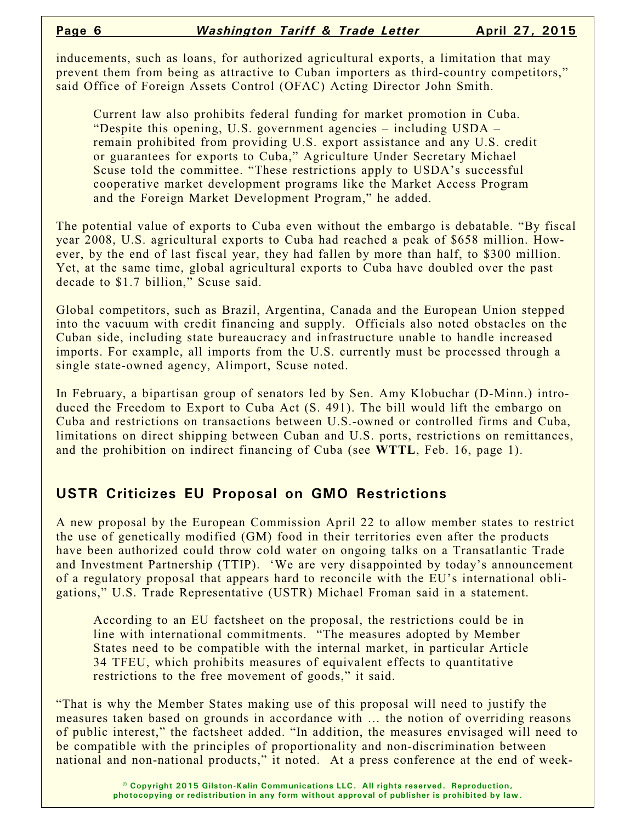inducements, such as loans, for authorized agricultural exports, a limitation that may prevent them from being as attractive to Cuban importers as third-country competitors," said Office of Foreign Assets Control (OFAC) Acting Director John Smith.

Current law also prohibits federal funding for market promotion in Cuba. "Despite this opening, U.S. government agencies – including USDA – remain prohibited from providing U.S. export assistance and any U.S. credit or guarantees for exports to Cuba," Agriculture Under Secretary Michael Scuse told the committee. "These restrictions apply to USDA's successful cooperative market development programs like the Market Access Program and the Foreign Market Development Program," he added.

The potential value of exports to Cuba even without the embargo is debatable. "By fiscal year 2008, U.S. agricultural exports to Cuba had reached a peak of \$658 million. However, by the end of last fiscal year, they had fallen by more than half, to \$300 million. Yet, at the same time, global agricultural exports to Cuba have doubled over the past decade to \$1.7 billion," Scuse said.

Global competitors, such as Brazil, Argentina, Canada and the European Union stepped into the vacuum with credit financing and supply. Officials also noted obstacles on the Cuban side, including state bureaucracy and infrastructure unable to handle increased imports. For example, all imports from the U.S. currently must be processed through a single state-owned agency, Alimport, Scuse noted.

In February, a bipartisan group of senators led by Sen. Amy Klobuchar (D-Minn.) introduced the Freedom to Export to Cuba Act (S. 491). The bill would lift the embargo on Cuba and restrictions on transactions between U.S.-owned or controlled firms and Cuba, limitations on direct shipping between Cuban and U.S. ports, restrictions on remittances, and the prohibition on indirect financing of Cuba (see **WTTL**, Feb. 16, page 1).

### **USTR Criticizes EU Proposal on GMO Restrictions**

A new proposal by the European Commission April 22 to allow member states to restrict the use of genetically modified (GM) food in their territories even after the products have been authorized could throw cold water on ongoing talks on a Transatlantic Trade and Investment Partnership (TTIP). 'We are very disappointed by today's announcement of a regulatory proposal that appears hard to reconcile with the EU's international obligations," U.S. Trade Representative (USTR) Michael Froman said in a statement.

According to an EU factsheet on the proposal, the restrictions could be in line with international commitments. "The measures adopted by Member States need to be compatible with the internal market, in particular Article 34 TFEU, which prohibits measures of equivalent effects to quantitative restrictions to the free movement of goods," it said.

"That is why the Member States making use of this proposal will need to justify the measures taken based on grounds in accordance with … the notion of overriding reasons of public interest," the factsheet added. "In addition, the measures envisaged will need to be compatible with the principles of proportionality and non-discrimination between national and non-national products," it noted. At a press conference at the end of week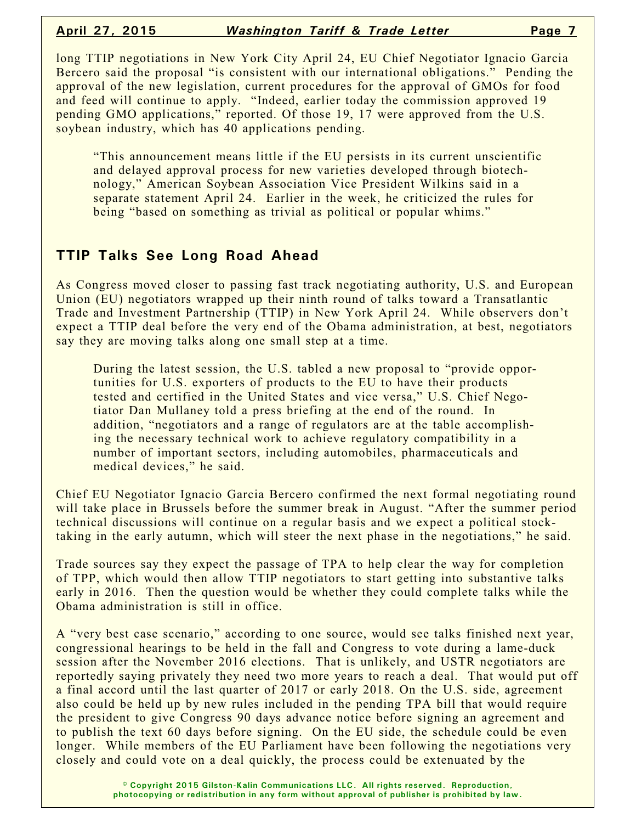long TTIP negotiations in New York City April 24, EU Chief Negotiator Ignacio Garcia Bercero said the proposal "is consistent with our international obligations." Pending the approval of the new legislation, current procedures for the approval of GMOs for food and feed will continue to apply. "Indeed, earlier today the commission approved 19 pending GMO applications," reported. Of those 19, 17 were approved from the U.S. soybean industry, which has 40 applications pending.

"This announcement means little if the EU persists in its current unscientific and delayed approval process for new varieties developed through biotechnology," American Soybean Association Vice President Wilkins said in a separate statement April 24. Earlier in the week, he criticized the rules for being "based on something as trivial as political or popular whims."

## **TTIP Talks See Long Road Ahead**

As Congress moved closer to passing fast track negotiating authority, U.S. and European Union (EU) negotiators wrapped up their ninth round of talks toward a Transatlantic Trade and Investment Partnership (TTIP) in New York April 24. While observers don't expect a TTIP deal before the very end of the Obama administration, at best, negotiators say they are moving talks along one small step at a time.

During the latest session, the U.S. tabled a new proposal to "provide opportunities for U.S. exporters of products to the EU to have their products tested and certified in the United States and vice versa," U.S. Chief Negotiator Dan Mullaney told a press briefing at the end of the round. In addition, "negotiators and a range of regulators are at the table accomplishing the necessary technical work to achieve regulatory compatibility in a number of important sectors, including automobiles, pharmaceuticals and medical devices," he said.

Chief EU Negotiator Ignacio Garcia Bercero confirmed the next formal negotiating round will take place in Brussels before the summer break in August. "After the summer period technical discussions will continue on a regular basis and we expect a political stocktaking in the early autumn, which will steer the next phase in the negotiations," he said.

Trade sources say they expect the passage of TPA to help clear the way for completion of TPP, which would then allow TTIP negotiators to start getting into substantive talks early in 2016. Then the question would be whether they could complete talks while the Obama administration is still in office.

A "very best case scenario," according to one source, would see talks finished next year, congressional hearings to be held in the fall and Congress to vote during a lame-duck session after the November 2016 elections. That is unlikely, and USTR negotiators are reportedly saying privately they need two more years to reach a deal. That would put off a final accord until the last quarter of 2017 or early 2018. On the U.S. side, agreement also could be held up by new rules included in the pending TPA bill that would require the president to give Congress 90 days advance notice before signing an agreement and to publish the text 60 days before signing. On the EU side, the schedule could be even longer. While members of the EU Parliament have been following the negotiations very closely and could vote on a deal quickly, the process could be extenuated by the